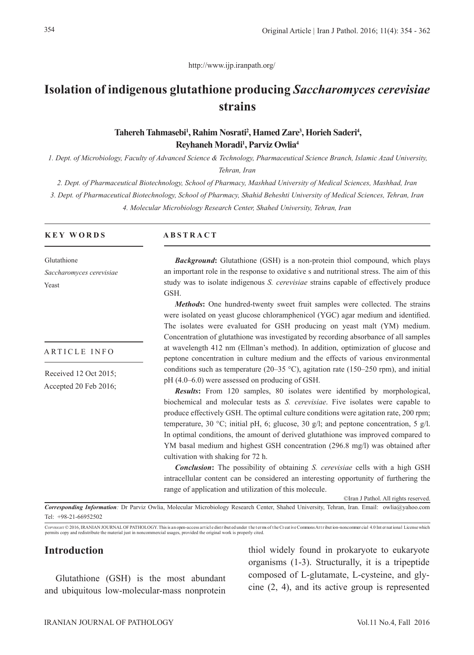http://www.ijp.iranpath.org/

# **Isolation of indigenous glutathione producing** *Saccharomyces cerevisiae* **strains**

# Tahereh Tahmasebi<sup>1</sup>, Rahim Nosrati<sup>2</sup>, Hamed Zare<sup>3</sup>, Horieh Saderi<sup>4</sup>, **Reyhaneh Moradi1 , Parviz Owlia4**

*1. Dept. of Microbiology, Faculty of Advanced Science & Technology, Pharmaceutical Science Branch, Islamic Azad University, Tehran, Iran*

*2. Dept. of Pharmaceutical Biotechnology, School of Pharmacy, Mashhad University of Medical Sciences, Mashhad, Iran*

*3. Dept. of Pharmaceutical Biotechnology, School of Pharmacy, Shahid Beheshti University of Medical Sciences, Tehran, Iran*

*4. Molecular Microbiology Research Center, Shahed University, Tehran, Iran*

#### **KEY WORDS**

Glutathione *Saccharomyces cerevisiae* Yeast

#### ARTICLE INFO

Received 12 Oct 2015; Accepted 20 Feb 2016;

#### **ABSTRACT**

*Background*: Glutathione (GSH) is a non-protein thiol compound, which plays an important role in the response to oxidative s and nutritional stress. The aim of this study was to isolate indigenous *S. cerevisiae* strains capable of effectively produce GSH.

*Methods***:** One hundred-twenty sweet fruit samples were collected. The strains were isolated on yeast glucose chloramphenicol (YGC) agar medium and identified. The isolates were evaluated for GSH producing on yeast malt (YM) medium. Concentration of glutathione was investigated by recording absorbance of all samples at wavelength 412 nm (Ellman's method). In addition, optimization of glucose and peptone concentration in culture medium and the effects of various environmental conditions such as temperature (20–35 °C), agitation rate (150–250 rpm), and initial pH (4.0–6.0) were assessed on producing of GSH.

*Results***:** From 120 samples, 80 isolates were identified by morphological, biochemical and molecular tests as *S. cerevisiae*. Five isolates were capable to produce effectively GSH. The optimal culture conditions were agitation rate, 200 rpm; temperature, 30 °C; initial pH, 6; glucose, 30 g/l; and peptone concentration, 5 g/l. In optimal conditions, the amount of derived glutathione was improved compared to YM basal medium and highest GSH concentration (296.8 mg/l) was obtained after cultivation with shaking for 72 h.

*Conclusion***:** The possibility of obtaining *S. cerevisiae* cells with a high GSH intracellular content can be considered an interesting opportunity of furthering the range of application and utilization of this molecule.

©Iran J Pathol. All rights reserved.

*Corresponding Information:* Dr Parviz Owlia, Molecular Microbiology Research Center, Shahed University, Tehran, Iran. Email: owlia@yahoo.com Tel: +98-21-66952502

CorvRIGHT © 2016, IRANIAN JOURNAL OF PATHOLOGY. This is an open-access art icle distributed under the terms of the Creative Commons Attribution-noncommercial 4.0 International License which<br>permits copy and redistribute t

# **Introduction**

Glutathione (GSH) is the most abundant and ubiquitous low-molecular-mass nonprotein thiol widely found in prokaryote to eukaryote organisms (1-3). Structurally, it is a tripeptide composed of L-glutamate, L-cysteine, and glycine (2, 4), and its active group is represented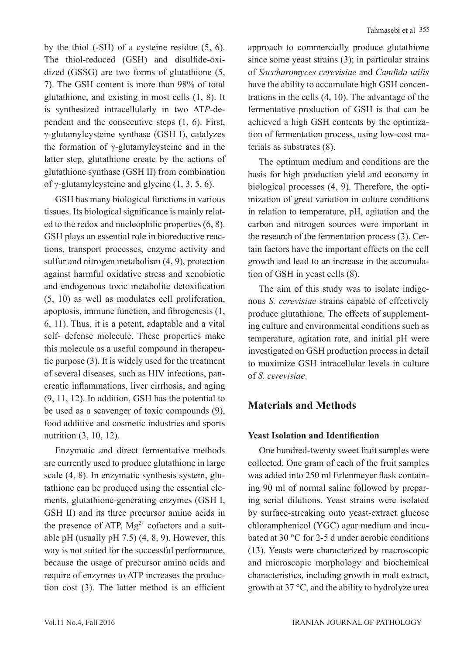by the thiol (-SH) of a cysteine residue (5, 6). The thiol-reduced (GSH) and disulfide-oxidized (GSSG) are two forms of glutathione (5, 7). The GSH content is more than 98% of total glutathione, and existing in most cells (1, 8). It is synthesized intracellularly in two AT*P-*dependent and the consecutive steps (1, 6). First, γ-glutamylcysteine synthase (GSH I), catalyzes the formation of γ-glutamylcysteine and in the latter step, glutathione create by the actions of glutathione synthase (GSH II) from combination of γ-glutamylcysteine and glycine  $(1, 3, 5, 6)$ .

GSH has many biological functions in various tissues. Its biological significance is mainly related to the redox and nucleophilic properties (6, 8). GSH plays an essential role in bioreductive reactions, transport processes, enzyme activity and sulfur and nitrogen metabolism (4, 9), protection against harmful oxidative stress and xenobiotic and endogenous toxic metabolite detoxification (5, 10) as well as modulates cell proliferation, apoptosis, immune function, and fibrogenesis (1, 6, 11). Thus, it is a potent, adaptable and a vital self- defense molecule. These properties make this molecule as a useful compound in therapeutic purpose (3). It is widely used for the treatment of several diseases, such as HIV infections, pancreatic inflammations, liver cirrhosis, and aging (9, 11, 12). In addition, GSH has the potential to be used as a scavenger of toxic compounds (9), food additive and cosmetic industries and sports nutrition (3, 10, 12).

Enzymatic and direct fermentative methods are currently used to produce glutathione in large scale (4, 8). In enzymatic synthesis system, glutathione can be produced using the essential elements, glutathione-generating enzymes (GSH I, GSH II) and its three precursor amino acids in the presence of ATP,  $Mg^{2+}$  cofactors and a suitable pH (usually pH  $7.5$ ) (4, 8, 9). However, this way is not suited for the successful performance, because the usage of precursor amino acids and require of enzymes to ATP increases the production cost (3). The latter method is an efficient approach to commercially produce glutathione since some yeast strains (3); in particular strains of *Saccharomyces cerevisiae* and *Candida utilis*  have the ability to accumulate high GSH concentrations in the cells (4, 10). The advantage of the fermentative production of GSH is that can be achieved a high GSH contents by the optimization of fermentation process, using low-cost materials as substrates (8).

The optimum medium and conditions are the basis for high production yield and economy in biological processes (4, 9). Therefore, the optimization of great variation in culture conditions in relation to temperature, pH, agitation and the carbon and nitrogen sources were important in the research of the fermentation process (3). Certain factors have the important effects on the cell growth and lead to an increase in the accumulation of GSH in yeast cells (8).

The aim of this study was to isolate indigenous *S. cerevisiae* strains capable of effectively produce glutathione. The effects of supplementing culture and environmental conditions such as temperature, agitation rate, and initial pH were investigated on GSH production process in detail to maximize GSH intracellular levels in culture of *S. cerevisiae*.

# **Materials and Methods**

# **Yeast Isolation and Identification**

One hundred-twenty sweet fruit samples were collected. One gram of each of the fruit samples was added into 250 ml Erlenmeyer flask containing 90 ml of normal saline followed by preparing serial dilutions. Yeast strains were isolated by surface-streaking onto yeast-extract glucose chloramphenicol (YGC) agar medium and incubated at 30 °C for 2-5 d under aerobic conditions (13). Yeasts were characterized by macroscopic and microscopic morphology and biochemical characteristics, including growth in malt extract, growth at 37 °C, and the ability to hydrolyze urea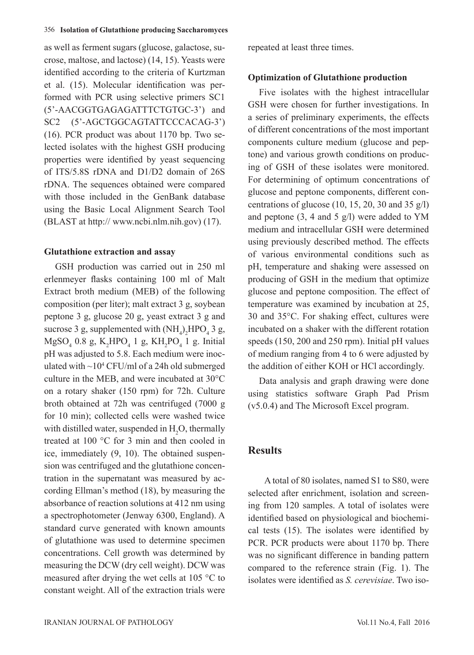as well as ferment sugars (glucose, galactose, sucrose, maltose, and lactose) (14, 15). Yeasts were identified according to the criteria of Kurtzman et al. (15). Molecular identification was performed with PCR using selective primers SC1 (5'-AACGGTGAGAGATTTCTGTGC-3') and SC2 (5'-AGCTGGCAGTATTCCCACAG-3') (16). PCR product was about 1170 bp. Two selected isolates with the highest GSH producing properties were identified by yeast sequencing of ITS/5.8S rDNA and D1/D2 domain of 26S rDNA. The sequences obtained were compared with those included in the GenBank database using the Basic Local Alignment Search Tool (BLAST at http:// www.ncbi.nlm.nih.gov) (17).

### **Glutathione extraction and assay**

GSH production was carried out in 250 ml erlenmeyer flasks containing 100 ml of Malt Extract broth medium (MEB) of the following composition (per liter); malt extract 3 g, soybean peptone 3 g, glucose 20 g, yeast extract 3 g and sucrose 3 g, supplemented with  $(NH_4)_2 HPO_4$  3 g,  $MgSO_4$  0.8 g,  $K_2HPO_4$  1 g,  $KH_2PO_4$  1 g. Initial pH was adjusted to 5.8. Each medium were inoculated with  $\sim$ 10<sup>4</sup> CFU/ml of a 24h old submerged culture in the MEB, and were incubated at 30°C on a rotary shaker (150 rpm) for 72h. Culture broth obtained at 72h was centrifuged (7000 g for 10 min); collected cells were washed twice with distilled water, suspended in  $H_2O$ , thermally treated at 100 °C for 3 min and then cooled in ice, immediately (9, 10). The obtained suspension was centrifuged and the glutathione concentration in the supernatant was measured by according Ellman's method (18), by measuring the absorbance of reaction solutions at 412 nm using a spectrophotometer (Jenway 6300, England). A standard curve generated with known amounts of glutathione was used to determine specimen concentrations. Cell growth was determined by measuring the DCW (dry cell weight). DCW was measured after drying the wet cells at 105 °C to constant weight. All of the extraction trials were

IRANIAN JOURNAL OF PATHOLOGY Vol.11 No.4, Fall 2016

repeated at least three times.

### **Optimization of Glutathione production**

Five isolates with the highest intracellular GSH were chosen for further investigations. In a series of preliminary experiments, the effects of different concentrations of the most important components culture medium (glucose and peptone) and various growth conditions on producing of GSH of these isolates were monitored. For determining of optimum concentrations of glucose and peptone components, different concentrations of glucose  $(10, 15, 20, 30, \text{ and } 35 \text{ g/l})$ and peptone  $(3, 4 \text{ and } 5 \text{ g/l})$  were added to YM medium and intracellular GSH were determined using previously described method. The effects of various environmental conditions such as pH, temperature and shaking were assessed on producing of GSH in the medium that optimize glucose and peptone composition. The effect of temperature was examined by incubation at 25, 30 and 35°C. For shaking effect, cultures were incubated on a shaker with the different rotation speeds (150, 200 and 250 rpm). Initial pH values of medium ranging from 4 to 6 were adjusted by the addition of either KOH or HCl accordingly.

Data analysis and graph drawing were done using statistics software Graph Pad Prism (v5.0.4) and The Microsoft Excel program.

# **Results**

 A total of 80 isolates, named S1 to S80, were selected after enrichment, isolation and screening from 120 samples. A total of isolates were identified based on physiological and biochemical tests (15). The isolates were identified by PCR. PCR products were about 1170 bp. There was no significant difference in banding pattern compared to the reference strain (Fig. 1). The isolates were identified as *S. cerevisiae*. Two iso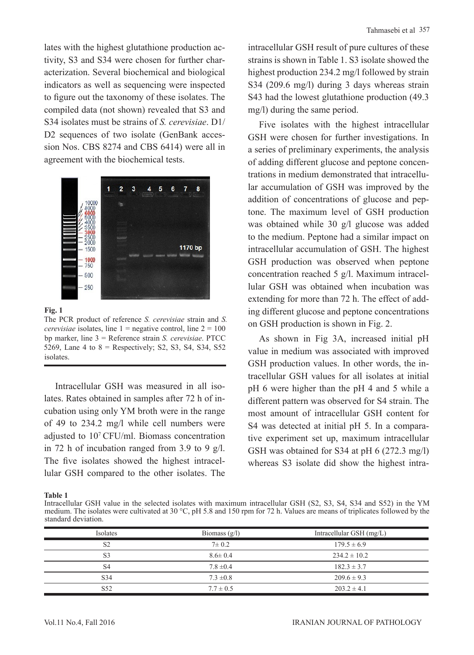lates with the highest glutathione production activity, S3 and S34 were chosen for further characterization. Several biochemical and biological indicators as well as sequencing were inspected to figure out the taxonomy of these isolates. The compiled data (not shown) revealed that S3 and S34 isolates must be strains of *S. cerevisiae*. D1/ D2 sequences of two isolate (GenBank accession Nos. CBS 8274 and CBS 6414) were all in agreement with the biochemical tests.



**Fig. 1**

The PCR product of reference *S. cerevisiae* strain and *S. cerevisiae* isolates, line  $1 =$  negative control, line  $2 = 100$ bp marker, line 3 = Reference strain *S. cerevisiae*. PTCC 5269, Lane 4 to  $8$  = Respectively; S2, S3, S4, S34, S52 **isolates** 

Intracellular GSH was measured in all isolates. Rates obtained in samples after 72 h of incubation using only YM broth were in the range of 49 to 234.2 mg/l while cell numbers were adjusted to 107 CFU/ml. Biomass concentration in 72 h of incubation ranged from 3.9 to 9 g/l. The five isolates showed the highest intracellular GSH compared to the other isolates. The intracellular GSH result of pure cultures of these strains is shown in Table 1. S3 isolate showed the highest production 234.2 mg/l followed by strain S34 (209.6 mg/l) during 3 days whereas strain S43 had the lowest glutathione production (49.3 mg/l) during the same period.

Five isolates with the highest intracellular GSH were chosen for further investigations. In a series of preliminary experiments, the analysis of adding different glucose and peptone concentrations in medium demonstrated that intracellular accumulation of GSH was improved by the addition of concentrations of glucose and peptone. The maximum level of GSH production was obtained while 30 g/l glucose was added to the medium. Peptone had a similar impact on intracellular accumulation of GSH. The highest GSH production was observed when peptone concentration reached 5 g/l. Maximum intracellular GSH was obtained when incubation was extending for more than 72 h. The effect of adding different glucose and peptone concentrations on GSH production is shown in Fig. 2.

As shown in Fig 3A, increased initial pH value in medium was associated with improved GSH production values. In other words, the intracellular GSH values for all isolates at initial pH 6 were higher than the pH 4 and 5 while a different pattern was observed for S4 strain. The most amount of intracellular GSH content for S4 was detected at initial pH 5. In a comparative experiment set up, maximum intracellular GSH was obtained for S34 at pH 6 (272.3 mg/l) whereas S3 isolate did show the highest intra-

**Table 1**

Intracellular GSH value in the selected isolates with maximum intracellular GSH (S2, S3, S4, S34 and S52) in the YM medium. The isolates were cultivated at 30 °C, pH 5.8 and 150 rpm for 72 h. Values are means of triplicates followed by the standard deviation.

| Isolates        | Biomass $(g/l)$ | Intracellular GSH (mg/L) |  |  |
|-----------------|-----------------|--------------------------|--|--|
| S <sub>2</sub>  | $7 \pm 0.2$     | $179.5 \pm 6.9$          |  |  |
| S <sub>3</sub>  | $8.6 \pm 0.4$   | $234.2 \pm 10.2$         |  |  |
| S4              | $7.8 \pm 0.4$   | $182.3 \pm 3.7$          |  |  |
| S <sub>34</sub> | $7.3 \pm 0.8$   | $209.6 \pm 9.3$          |  |  |
| S <sub>52</sub> | $7.7 \pm 0.5$   | $203.2 \pm 4.1$          |  |  |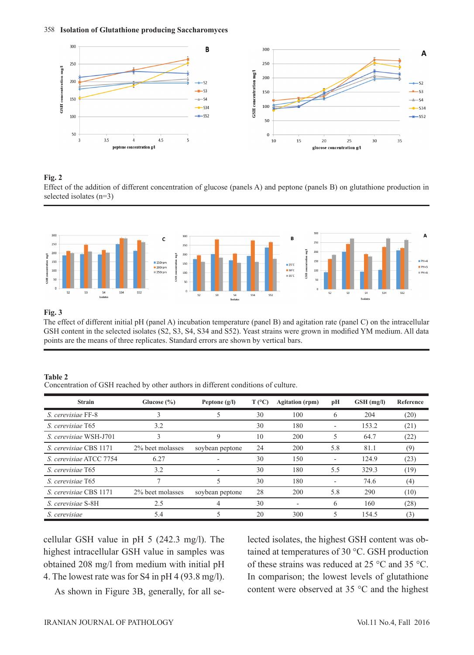

#### **Fig. 2**

Effect of the addition of different concentration of glucose (panels A) and peptone (panels B) on glutathione production in selected isolates (n=3)



#### **Fig. 3**

The effect of different initial pH (panel A) incubation temperature (panel B) and agitation rate (panel C) on the intracellular GSH content in the selected isolates (S2, S3, S4, S34 and S52). Yeast strains were grown in modified YM medium. All data points are the means of three replicates. Standard errors are shown by vertical bars.

#### **Table 2**

Concentration of GSH reached by other authors in different conditions of culture.

| <b>Strain</b>           | Glucose $(\% )$  | Peptone $(g/I)$ | $T (^{\circ}C)$ | <b>Agitation</b> (rpm) | pН                       | $GSH$ (mg/l) | Reference |
|-------------------------|------------------|-----------------|-----------------|------------------------|--------------------------|--------------|-----------|
| S. cerevisiae FF-8      | 3                |                 | 30              | 100                    | 6                        | 204          | (20)      |
| S. cerevisiae T65       | 3.2              |                 | 30              | 180                    | $\qquad \qquad$          | 153.2        | (21)      |
| S. cerevisiae WSH-J701  | 3                | 9               | 10              | 200                    | 5                        | 64.7         | (22)      |
| S. cerevisiae CBS 1171  | 2% beet molasses | soybean peptone | 24              | 200                    | 5.8                      | 81.1         | (9)       |
| S. cerevisiae ATCC 7754 | 6.27             |                 | 30              | 150                    | $\overline{\phantom{a}}$ | 124.9        | (23)      |
| S. cerevisiae T65       | 3.2              |                 | 30              | 180                    | 5.5                      | 329.3        | (19)      |
| S. cerevisiae T65       | 7                |                 | 30              | 180                    | $\overline{\phantom{a}}$ | 74.6         | (4)       |
| S. cerevisiae CBS 1171  | 2% beet molasses | soybean peptone | 28              | 200                    | 5.8                      | 290          | (10)      |
| S. cerevisiae S-8H      | 2.5              |                 | 30              |                        | 6                        | 160          | (28)      |
| S. cerevisiae           | 5.4              |                 | 20              | 300                    | 5                        | 154.5        | (3)       |

cellular GSH value in pH 5 (242.3 mg/l). The highest intracellular GSH value in samples was obtained 208 mg/l from medium with initial pH 4. The lowest rate was for S4 in pH 4 (93.8 mg/l).

As shown in Figure 3B, generally, for all se-

lected isolates, the highest GSH content was obtained at temperatures of 30 °C. GSH production of these strains was reduced at 25 °C and 35 °C. In comparison; the lowest levels of glutathione content were observed at 35 °C and the highest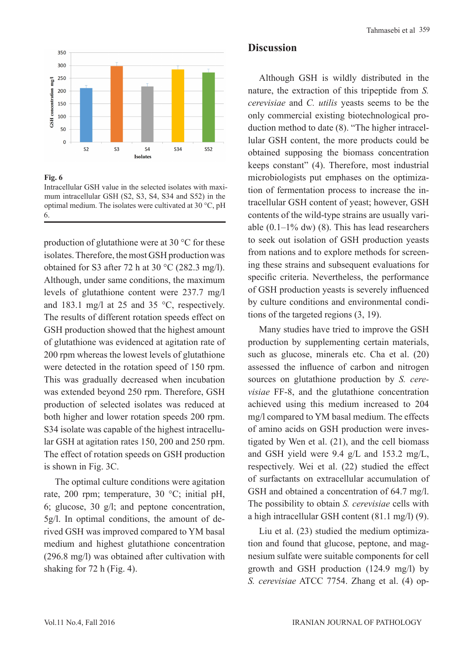

**Fig. 6**

Intracellular GSH value in the selected isolates with maximum intracellular GSH (S2, S3, S4, S34 and S52) in the optimal medium. The isolates were cultivated at 30 °C, pH 6.

production of glutathione were at 30 °C for these isolates. Therefore, the most GSH production was obtained for S3 after 72 h at 30  $^{\circ}$ C (282.3 mg/l). Although, under same conditions, the maximum levels of glutathione content were 237.7 mg/l and 183.1 mg/l at 25 and 35 °C, respectively. The results of different rotation speeds effect on GSH production showed that the highest amount of glutathione was evidenced at agitation rate of 200 rpm whereas the lowest levels of glutathione were detected in the rotation speed of 150 rpm. This was gradually decreased when incubation was extended beyond 250 rpm. Therefore, GSH production of selected isolates was reduced at both higher and lower rotation speeds 200 rpm. S34 isolate was capable of the highest intracellular GSH at agitation rates 150, 200 and 250 rpm. The effect of rotation speeds on GSH production is shown in Fig. 3C.

The optimal culture conditions were agitation rate, 200 rpm; temperature, 30 °C; initial pH, 6; glucose, 30 g/l; and peptone concentration, 5g/l. In optimal conditions, the amount of derived GSH was improved compared to YM basal medium and highest glutathione concentration (296.8 mg/l) was obtained after cultivation with shaking for 72 h (Fig. 4).

### **Discussion**

Although GSH is wildly distributed in the nature, the extraction of this tripeptide from *S. cerevisiae* and *C. utilis* yeasts seems to be the only commercial existing biotechnological production method to date (8). "The higher intracellular GSH content, the more products could be obtained supposing the biomass concentration keeps constant" (4). Therefore, most industrial microbiologists put emphases on the optimization of fermentation process to increase the intracellular GSH content of yeast; however, GSH contents of the wild-type strains are usually variable  $(0.1-1\%$  dw)  $(8)$ . This has lead researchers to seek out isolation of GSH production yeasts from nations and to explore methods for screening these strains and subsequent evaluations for specific criteria. Nevertheless, the performance of GSH production yeasts is severely influenced by culture conditions and environmental conditions of the targeted regions (3, 19).

Many studies have tried to improve the GSH production by supplementing certain materials, such as glucose, minerals etc. Cha et al. (20) assessed the influence of carbon and nitrogen sources on glutathione production by *S. cerevisiae* FF-8, and the glutathione concentration achieved using this medium increased to 204 mg/l compared to YM basal medium. The effects of amino acids on GSH production were investigated by Wen et al. (21), and the cell biomass and GSH yield were 9.4 g/L and 153.2 mg/L, respectively. Wei et al. (22) studied the effect of surfactants on extracellular accumulation of GSH and obtained a concentration of 64.7 mg/l. The possibility to obtain *S. cerevisiae* cells with a high intracellular GSH content (81.1 mg/l) (9).

Liu et al. (23) studied the medium optimization and found that glucose, peptone, and magnesium sulfate were suitable components for cell growth and GSH production (124.9 mg/l) by *S. cerevisiae* ATCC 7754. Zhang et al. (4) op-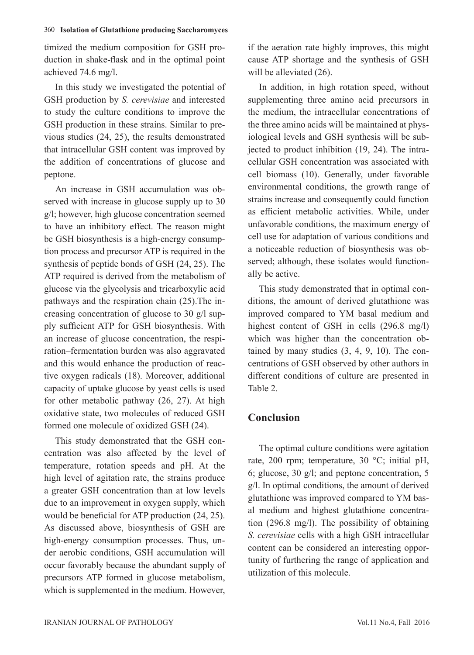timized the medium composition for GSH production in shake-flask and in the optimal point achieved 74.6 mg/l.

In this study we investigated the potential of GSH production by *S. cerevisiae* and interested to study the culture conditions to improve the GSH production in these strains. Similar to previous studies (24, 25), the results demonstrated that intracellular GSH content was improved by the addition of concentrations of glucose and peptone.

An increase in GSH accumulation was observed with increase in glucose supply up to 30 g/l; however, high glucose concentration seemed to have an inhibitory effect. The reason might be GSH biosynthesis is a high-energy consumption process and precursor ATP is required in the synthesis of peptide bonds of GSH (24, 25). The ATP required is derived from the metabolism of glucose via the glycolysis and tricarboxylic acid pathways and the respiration chain (25).The increasing concentration of glucose to 30 g/l supply sufficient ATP for GSH biosynthesis. With an increase of glucose concentration, the respiration–fermentation burden was also aggravated and this would enhance the production of reactive oxygen radicals (18). Moreover, additional capacity of uptake glucose by yeast cells is used for other metabolic pathway (26, 27). At high oxidative state, two molecules of reduced GSH formed one molecule of oxidized GSH (24).

This study demonstrated that the GSH concentration was also affected by the level of temperature, rotation speeds and pH. At the high level of agitation rate, the strains produce a greater GSH concentration than at low levels due to an improvement in oxygen supply, which would be beneficial for ATP production (24, 25). As discussed above, biosynthesis of GSH are high-energy consumption processes. Thus, under aerobic conditions, GSH accumulation will occur favorably because the abundant supply of precursors ATP formed in glucose metabolism, which is supplemented in the medium. However,

if the aeration rate highly improves, this might cause ATP shortage and the synthesis of GSH will be alleviated  $(26)$ .

In addition, in high rotation speed, without supplementing three amino acid precursors in the medium, the intracellular concentrations of the three amino acids will be maintained at physiological levels and GSH synthesis will be subjected to product inhibition (19, 24). The intracellular GSH concentration was associated with cell biomass (10). Generally, under favorable environmental conditions, the growth range of strains increase and consequently could function as efficient metabolic activities. While, under unfavorable conditions, the maximum energy of cell use for adaptation of various conditions and a noticeable reduction of biosynthesis was observed; although, these isolates would functionally be active.

This study demonstrated that in optimal conditions, the amount of derived glutathione was improved compared to YM basal medium and highest content of GSH in cells (296.8 mg/l) which was higher than the concentration obtained by many studies (3, 4, 9, 10). The concentrations of GSH observed by other authors in different conditions of culture are presented in Table 2.

# **Conclusion**

The optimal culture conditions were agitation rate, 200 rpm; temperature, 30 °C; initial pH, 6; glucose, 30 g/l; and peptone concentration, 5 g/l. In optimal conditions, the amount of derived glutathione was improved compared to YM basal medium and highest glutathione concentration (296.8 mg/l). The possibility of obtaining *S. cerevisiae* cells with a high GSH intracellular content can be considered an interesting opportunity of furthering the range of application and utilization of this molecule.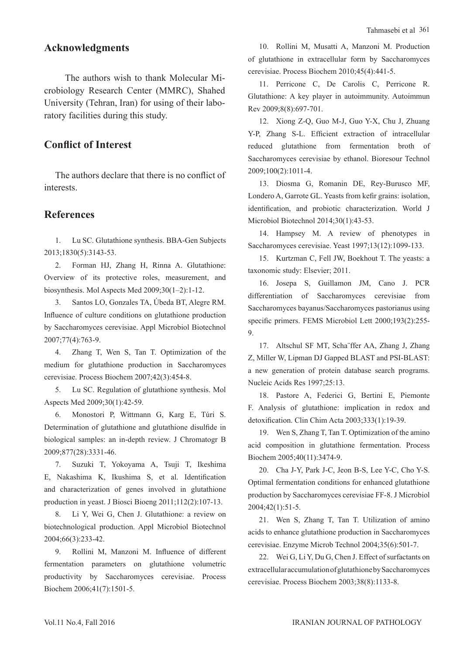## **Acknowledgments**

 The authors wish to thank Molecular Microbiology Research Center (MMRC), Shahed University (Tehran, Iran) for using of their laboratory facilities during this study.

# **Conflict of Interest**

The authors declare that there is no conflict of interests.

## **References**

1. Lu SC. Glutathione synthesis. BBA-Gen Subjects 2013;1830(5):3143-53.

2. Forman HJ, Zhang H, Rinna A. Glutathione: Overview of its protective roles, measurement, and biosynthesis. Mol Aspects Med 2009;30(1–2):1-12.

3. Santos LO, Gonzales TA, Úbeda BT, Alegre RM. Influence of culture conditions on glutathione production by Saccharomyces cerevisiae. Appl Microbiol Biotechnol 2007;77(4):763-9.

4. Zhang T, Wen S, Tan T. Optimization of the medium for glutathione production in Saccharomyces cerevisiae. Process Biochem 2007;42(3):454-8.

5. Lu SC. Regulation of glutathione synthesis. Mol Aspects Med 2009;30(1):42-59.

6. Monostori P, Wittmann G, Karg E, Túri S. Determination of glutathione and glutathione disulfide in biological samples: an in-depth review. J Chromatogr B 2009;877(28):3331-46.

7. Suzuki T, Yokoyama A, Tsuji T, Ikeshima E, Nakashima K, Ikushima S, et al. Identification and characterization of genes involved in glutathione production in yeast. J Biosci Bioeng 2011;112(2):107-13.

8. Li Y, Wei G, Chen J. Glutathione: a review on biotechnological production. Appl Microbiol Biotechnol 2004;66(3):233-42.

9. Rollini M, Manzoni M. Influence of different fermentation parameters on glutathione volumetric productivity by Saccharomyces cerevisiae. Process Biochem 2006;41(7):1501-5.

10. Rollini M, Musatti A, Manzoni M. Production of glutathione in extracellular form by Saccharomyces cerevisiae. Process Biochem 2010;45(4):441-5.

11. Perricone C, De Carolis C, Perricone R. Glutathione: A key player in autoimmunity. Autoimmun Rev 2009;8(8):697-701.

12. Xiong Z-Q, Guo M-J, Guo Y-X, Chu J, Zhuang Y-P, Zhang S-L. Efficient extraction of intracellular reduced glutathione from fermentation broth of Saccharomyces cerevisiae by ethanol. Bioresour Technol 2009;100(2):1011-4.

13. Diosma G, Romanin DE, Rey-Burusco MF, Londero A, Garrote GL. Yeasts from kefir grains: isolation, identification, and probiotic characterization. World J Microbiol Biotechnol 2014;30(1):43-53.

14. Hampsey M. A review of phenotypes in Saccharomyces cerevisiae. Yeast 1997;13(12):1099-133.

15. Kurtzman C, Fell JW, Boekhout T. The yeasts: a taxonomic study: Elsevier; 2011.

16. Josepa S, Guillamon JM, Cano J. PCR differentiation of Saccharomyces cerevisiae from Saccharomyces bayanus/Saccharomyces pastorianus using specific primers. FEMS Microbiol Lett 2000;193(2):255- 9.

17. Altschul SF MT, Scha¨ffer AA, Zhang J, Zhang Z, Miller W, Lipman DJ Gapped BLAST and PSI-BLAST: a new generation of protein database search programs. Nucleic Acids Res 1997;25:13.

18. Pastore A, Federici G, Bertini E, Piemonte F. Analysis of glutathione: implication in redox and detoxification. Clin Chim Acta 2003;333(1):19-39.

19. Wen S, Zhang T, Tan T. Optimization of the amino acid composition in glutathione fermentation. Process Biochem 2005;40(11):3474-9.

20. Cha J-Y, Park J-C, Jeon B-S, Lee Y-C, Cho Y-S. Optimal fermentation conditions for enhanced glutathione production by Saccharomyces cerevisiae FF-8. J Microbiol 2004;42(1):51-5.

21. Wen S, Zhang T, Tan T. Utilization of amino acids to enhance glutathione production in Saccharomyces cerevisiae. Enzyme Microb Technol 2004;35(6):501-7.

22. Wei G, Li Y, Du G, Chen J. Effect of surfactants on extracellular accumulation of glutathione by Saccharomyces cerevisiae. Process Biochem 2003;38(8):1133-8.